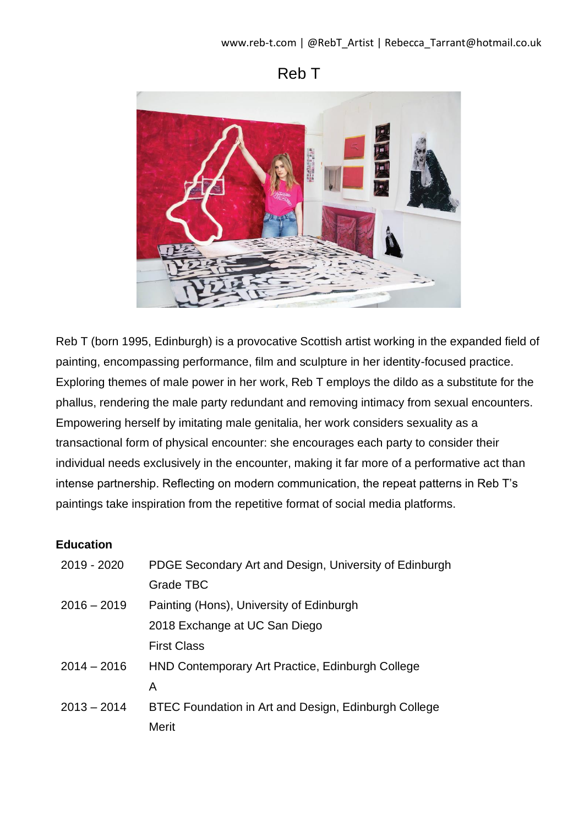# Reb T



Reb T (born 1995, Edinburgh) is a provocative Scottish artist working in the expanded field of painting, encompassing performance, film and sculpture in her identity-focused practice. Exploring themes of male power in her work, Reb T employs the dildo as a substitute for the phallus, rendering the male party redundant and removing intimacy from sexual encounters. Empowering herself by imitating male genitalia, her work considers sexuality as a transactional form of physical encounter: she encourages each party to consider their individual needs exclusively in the encounter, making it far more of a performative act than intense partnership. Reflecting on modern communication, the repeat patterns in Reb T's paintings take inspiration from the repetitive format of social media platforms.

#### **Education**

| 2019 - 2020   | PDGE Secondary Art and Design, University of Edinburgh |  |
|---------------|--------------------------------------------------------|--|
|               | Grade TBC                                              |  |
| $2016 - 2019$ | Painting (Hons), University of Edinburgh               |  |
|               | 2018 Exchange at UC San Diego                          |  |
|               | <b>First Class</b>                                     |  |
| $2014 - 2016$ | HND Contemporary Art Practice, Edinburgh College       |  |
|               | A                                                      |  |
| $2013 - 2014$ | BTEC Foundation in Art and Design, Edinburgh College   |  |
|               | Merit                                                  |  |